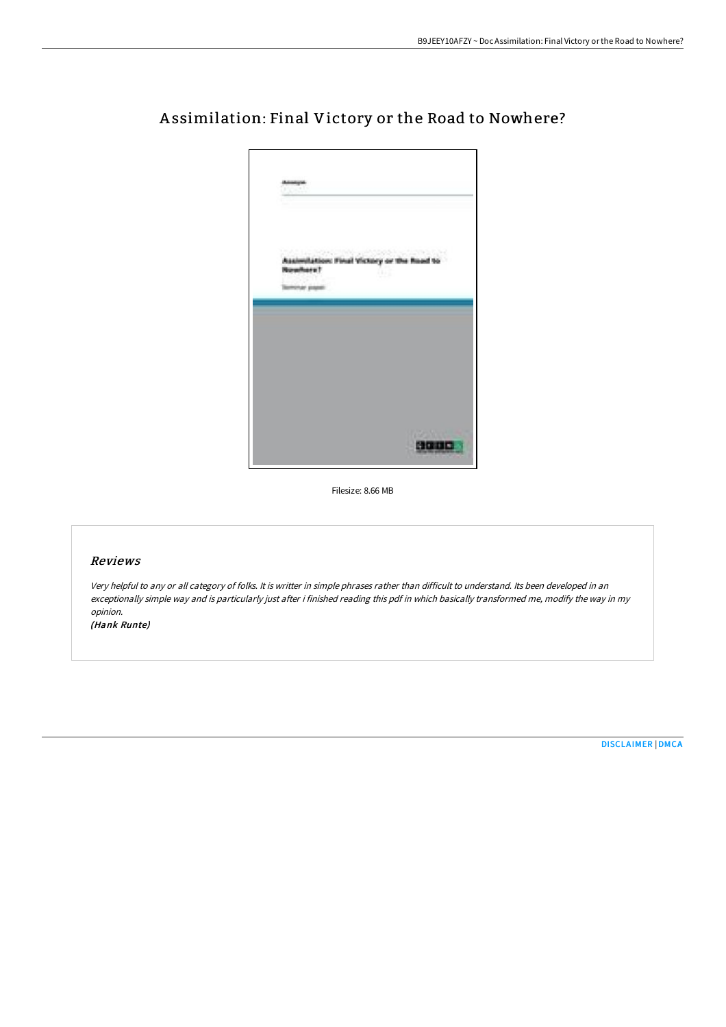

# A ssimilation: Final Victory or the Road to Nowhere?

Filesize: 8.66 MB

# Reviews

Very helpful to any or all category of folks. It is writter in simple phrases rather than difficult to understand. Its been developed in an exceptionally simple way and is particularly just after i finished reading this pdf in which basically transformed me, modify the way in my opinion.

(Hank Runte)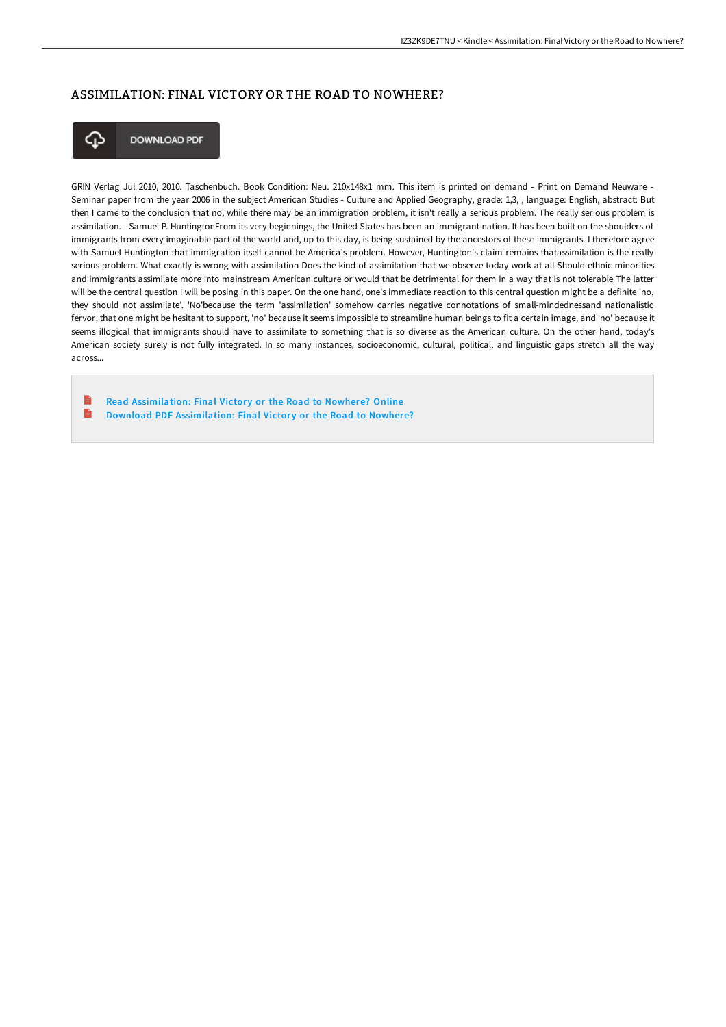## ASSIMILATION: FINAL VICTORY OR THE ROAD TO NOWHERE?



**DOWNLOAD PDF** 

GRIN Verlag Jul 2010, 2010. Taschenbuch. Book Condition: Neu. 210x148x1 mm. This item is printed on demand - Print on Demand Neuware - Seminar paper from the year 2006 in the subject American Studies - Culture and Applied Geography, grade: 1,3, , language: English, abstract: But then I came to the conclusion that no, while there may be an immigration problem, it isn't really a serious problem. The really serious problem is assimilation. - Samuel P. HuntingtonFrom its very beginnings, the United States has been an immigrant nation. It has been built on the shoulders of immigrants from every imaginable part of the world and, up to this day, is being sustained by the ancestors of these immigrants. I therefore agree with Samuel Huntington that immigration itself cannot be America's problem. However, Huntington's claim remains thatassimilation is the really serious problem. What exactly is wrong with assimilation Does the kind of assimilation that we observe today work at all Should ethnic minorities and immigrants assimilate more into mainstream American culture or would that be detrimental for them in a way that is not tolerable The latter will be the central question I will be posing in this paper. On the one hand, one's immediate reaction to this central question might be a definite 'no, they should not assimilate'. 'No'because the term 'assimilation' somehow carries negative connotations of small-mindednessand nationalistic fervor, that one might be hesitant to support, 'no' because it seems impossible to streamline human beings to fit a certain image, and 'no' because it seems illogical that immigrants should have to assimilate to something that is so diverse as the American culture. On the other hand, today's American society surely is not fully integrated. In so many instances, socioeconomic, cultural, political, and linguistic gaps stretch all the way across...

Read [Assimilation:](http://albedo.media/assimilation-final-victory-or-the-road-to-nowher.html) Final Victory or the Road to Nowhere? Online  $\mathbf{m}$ Download PDF [Assimilation:](http://albedo.media/assimilation-final-victory-or-the-road-to-nowher.html) Final Victory or the Road to Nowhere?